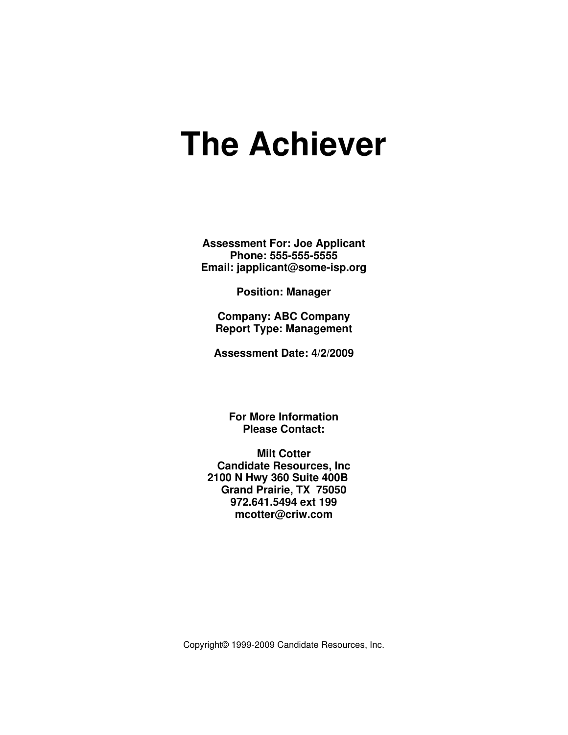# **The Achiever**

**Assessment For: Joe Applicant Phone: 555-555-5555 Email: japplicant@some-isp.org** 

**Position: Manager** 

**Company: ABC Company Report Type: Management** 

**Assessment Date: 4/2/2009** 

**For More Information Please Contact:** 

**Milt Cotter Candidate Resources, Inc 2100 N Hwy 360 Suite 400B Grand Prairie, TX 75050 972.641.5494 ext 199 mcotter@criw.com**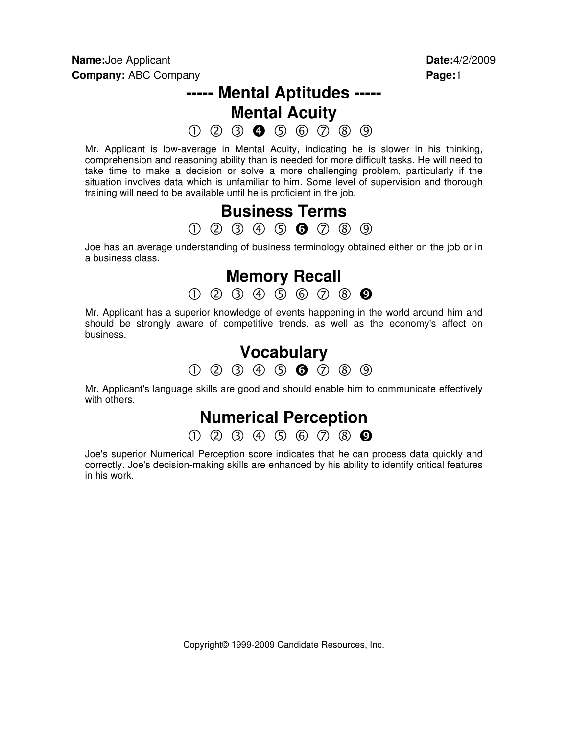# **----- Mental Aptitudes -----**

**Mental Acuity** 

 $0$  2 3 0 5 6  $0$  8 9

Mr. Applicant is low-average in Mental Acuity, indicating he is slower in his thinking, comprehension and reasoning ability than is needed for more difficult tasks. He will need to take time to make a decision or solve a more challenging problem, particularly if the situation involves data which is unfamiliar to him. Some level of supervision and thorough training will need to be available until he is proficient in the job.

## **Business Terms**   $0\ \, 0\ \, 0\ \, 0\ \, 0\ \, 0\ \, 0\ \, 0$

Joe has an average understanding of business terminology obtained either on the job or in a business class.

## **Memory Recall**

 $0$  2 3 4 5 6 7 8 0

Mr. Applicant has a superior knowledge of events happening in the world around him and should be strongly aware of competitive trends, as well as the economy's affect on business.

## **Vocabulary**

 $0$  2 3 4 5 6  $2$  8 9

Mr. Applicant's language skills are good and should enable him to communicate effectively with others.

## **Numerical Perception**

 $0$  2 3 4 5 6 7 8 9

Joe's superior Numerical Perception score indicates that he can process data quickly and correctly. Joe's decision-making skills are enhanced by his ability to identify critical features in his work.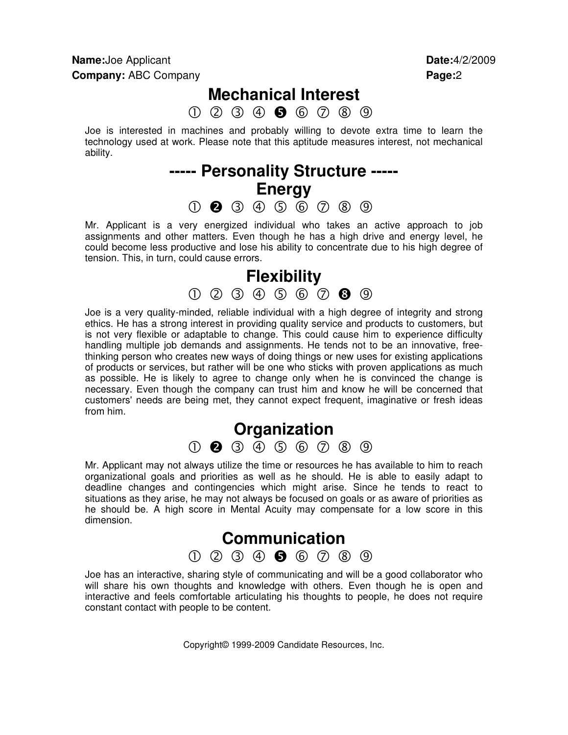## **Mechanical Interest**

 $0 0 0 0 0 0 0 0 0 0$ 

Joe is interested in machines and probably willing to devote extra time to learn the technology used at work. Please note that this aptitude measures interest, not mechanical ability.

## **----- Personality Structure ----- Energy**   $0$  2 3 4 5 6 7 8 9

Mr. Applicant is a very energized individual who takes an active approach to job assignments and other matters. Even though he has a high drive and energy level, he could become less productive and lose his ability to concentrate due to his high degree of tension. This, in turn, could cause errors.



Joe is a very quality-minded, reliable individual with a high degree of integrity and strong ethics. He has a strong interest in providing quality service and products to customers, but is not very flexible or adaptable to change. This could cause him to experience difficulty handling multiple job demands and assignments. He tends not to be an innovative, freethinking person who creates new ways of doing things or new uses for existing applications of products or services, but rather will be one who sticks with proven applications as much as possible. He is likely to agree to change only when he is convinced the change is necessary. Even though the company can trust him and know he will be concerned that customers' needs are being met, they cannot expect frequent, imaginative or fresh ideas from him.

## **Organization**   $(1)$  2  $(3)$   $(4)$   $(5)$   $(6)$   $(7)$   $(8)$   $(9)$

Mr. Applicant may not always utilize the time or resources he has available to him to reach organizational goals and priorities as well as he should. He is able to easily adapt to deadline changes and contingencies which might arise. Since he tends to react to situations as they arise, he may not always be focused on goals or as aware of priorities as he should be. A high score in Mental Acuity may compensate for a low score in this dimension.



Joe has an interactive, sharing style of communicating and will be a good collaborator who will share his own thoughts and knowledge with others. Even though he is open and interactive and feels comfortable articulating his thoughts to people, he does not require constant contact with people to be content.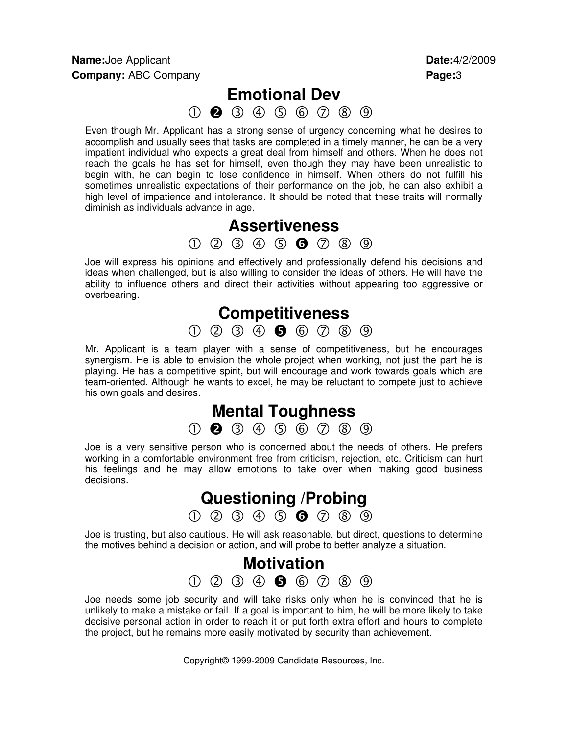## **Emotional Dev**

000000000

Even though Mr. Applicant has a strong sense of urgency concerning what he desires to accomplish and usually sees that tasks are completed in a timely manner, he can be a very impatient individual who expects a great deal from himself and others. When he does not reach the goals he has set for himself, even though they may have been unrealistic to begin with, he can begin to lose confidence in himself. When others do not fulfill his sometimes unrealistic expectations of their performance on the job, he can also exhibit a high level of impatience and intolerance. It should be noted that these traits will normally diminish as individuals advance in age.

## **Assertiveness**

 $0\ \, 0\ \, 0\ \, 0\ \, 0\ \, 0\ \, 0\ \, 0$ 

Joe will express his opinions and effectively and professionally defend his decisions and ideas when challenged, but is also willing to consider the ideas of others. He will have the ability to influence others and direct their activities without appearing too aggressive or overbearing.

## **Competitiveness**

 $0$  2 3  $\dot{0}$  6  $0$  8 9

Mr. Applicant is a team player with a sense of competitiveness, but he encourages synergism. He is able to envision the whole project when working, not just the part he is playing. He has a competitive spirit, but will encourage and work towards goals which are team-oriented. Although he wants to excel, he may be reluctant to compete just to achieve his own goals and desires.

## **Mental Toughness**

 $(1)$  2  $(3)$   $(4)$   $(5)$   $(6)$   $(7)$   $(8)$   $(9)$ 

Joe is a very sensitive person who is concerned about the needs of others. He prefers working in a comfortable environment free from criticism, rejection, etc. Criticism can hurt his feelings and he may allow emotions to take over when making good business decisions.

## **Questioning /Probing**

 $0$  2 3 4 5 6 7 8 9

Joe is trusting, but also cautious. He will ask reasonable, but direct, questions to determine the motives behind a decision or action, and will probe to better analyze a situation.

## **Motivation**   $0 0 0 0 0 0 0 0 0 0$

Joe needs some job security and will take risks only when he is convinced that he is unlikely to make a mistake or fail. If a goal is important to him, he will be more likely to take decisive personal action in order to reach it or put forth extra effort and hours to complete the project, but he remains more easily motivated by security than achievement.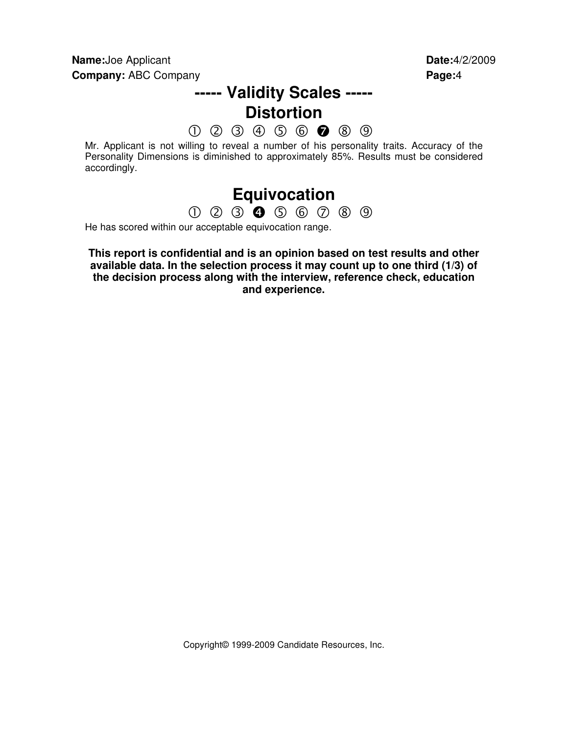## **----- Validity Scales ----- Distortion**

 $0\ \, 0\ \, 0\ \, 0\ \, 0\ \, \bullet\ \, \bullet\ \, 0\ \, 0$ 

Mr. Applicant is not willing to reveal a number of his personality traits. Accuracy of the Personality Dimensions is diminished to approximately 85%. Results must be considered accordingly.

## **Equivocation**

 $0$  2 3 0 5 6 7 8 9

He has scored within our acceptable equivocation range.

**This report is confidential and is an opinion based on test results and other available data. In the selection process it may count up to one third (1/3) of the decision process along with the interview, reference check, education and experience.**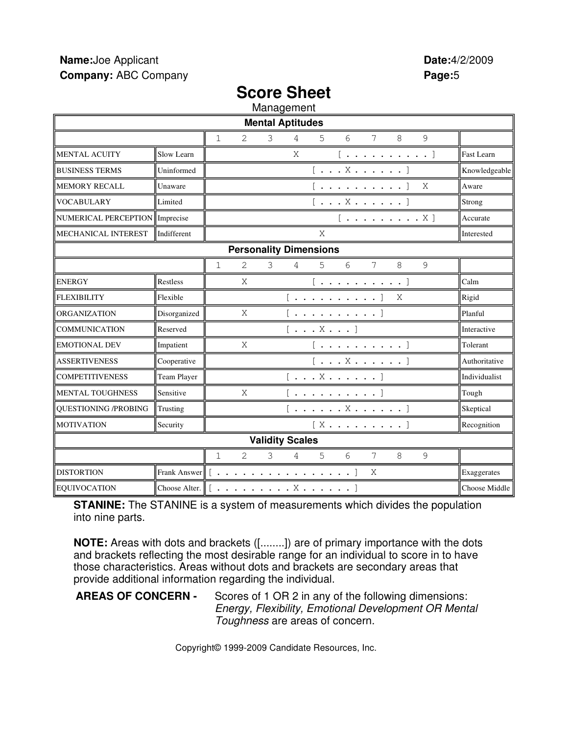## **Score Sheet**

Management

| manayonom                                            |              |                                                                                                                                                                                                                                                                                                                                                                                                                                                              |                   |  |  |
|------------------------------------------------------|--------------|--------------------------------------------------------------------------------------------------------------------------------------------------------------------------------------------------------------------------------------------------------------------------------------------------------------------------------------------------------------------------------------------------------------------------------------------------------------|-------------------|--|--|
|                                                      |              | <b>Mental Aptitudes</b>                                                                                                                                                                                                                                                                                                                                                                                                                                      |                   |  |  |
|                                                      |              | 9<br>6<br>7<br>8<br>$\mathbf{1}$<br>2<br>3<br>5<br>4                                                                                                                                                                                                                                                                                                                                                                                                         |                   |  |  |
| <b>MENTAL ACUITY</b>                                 | Slow Learn   | X<br>$[\ldots, \ldots, \ldots, \ldots]$                                                                                                                                                                                                                                                                                                                                                                                                                      | <b>Fast Learn</b> |  |  |
| <b>BUSINESS TERMS</b>                                | Uninformed   | $[\ldots X \ldots \ldots]$                                                                                                                                                                                                                                                                                                                                                                                                                                   | Knowledgeable     |  |  |
| <b>MEMORY RECALL</b>                                 | Unaware      | $[\; .\; .\; .\; .\; .\; .\; .\; .\; .\; ]$<br>Χ                                                                                                                                                                                                                                                                                                                                                                                                             | Aware             |  |  |
| <b>VOCABULARY</b>                                    | Limited      | $[\ldots X \ldots \ldots]$                                                                                                                                                                                                                                                                                                                                                                                                                                   | Strong            |  |  |
| NUMERICAL PERCEPTION   Imprecise                     |              | $[\ldots \ldots \ldots \ldots X]$                                                                                                                                                                                                                                                                                                                                                                                                                            | Accurate          |  |  |
| MECHANICAL INTEREST                                  | Indifferent  | X                                                                                                                                                                                                                                                                                                                                                                                                                                                            | Interested        |  |  |
|                                                      |              | <b>Personality Dimensions</b>                                                                                                                                                                                                                                                                                                                                                                                                                                |                   |  |  |
|                                                      |              | 6<br>$\overline{2}$<br>3<br>8<br>$\mathcal{G}$<br>$\mathbf{1}$<br>5<br>7<br>4                                                                                                                                                                                                                                                                                                                                                                                |                   |  |  |
| <b>ENERGY</b>                                        | Restless     | X<br>$[ \t\t\cdot \t\t\cdot \t\t\t\cdot \t\t\t\cdot \t\t\t\cdot \t\t\t\cdot \t\t\t\cdot \t\t\t\cdot \t\t\t\cdot \t\t\t\cdot \t\t\t\cdot \t\t\t\cdot \t\t\t\cdot \t\t\t\cdot \t\t\t\cdot \t\t\t\cdot \t\t\t\cdot \t\t\t\cdot \t\t\t\cdot \t\t\t\cdot \t\t\t\cdot \t\t\t\cdot \t\t\t\cdot \t\t\t\cdot \t\t\t\cdot \t\t\t\cdot \t\t\t\cdot \t\t\t\cdot \t\t\t\cdot \t\t\t\cdot \t\t\t\cdot \t\t\t\cdot \t\t\t\cdot \t\t\t\cdot \t\t\t\cdot \t\t\t\cdot \t\t\t\$ | Calm              |  |  |
| <b>FLEXIBILITY</b>                                   | Flexible     | Χ<br>$[\; .\; .\; .\; .\; .\; .\; .\; .\; .\; .\; ]$                                                                                                                                                                                                                                                                                                                                                                                                         | Rigid             |  |  |
| ORGANIZATION                                         | Disorganized | X<br>[ ]                                                                                                                                                                                                                                                                                                                                                                                                                                                     | Planful           |  |  |
| <b>COMMUNICATION</b>                                 | Reserved     | $[\ldots X \ldots]$                                                                                                                                                                                                                                                                                                                                                                                                                                          | Interactive       |  |  |
| <b>EMOTIONAL DEV</b>                                 | Impatient    | X<br>$[\ldots, \ldots, \ldots, \ldots]$                                                                                                                                                                                                                                                                                                                                                                                                                      | Tolerant          |  |  |
| <b>ASSERTIVENESS</b>                                 | Cooperative  | $[\ldots X \ldots \ldots]$                                                                                                                                                                                                                                                                                                                                                                                                                                   | Authoritative     |  |  |
| <b>COMPETITIVENESS</b>                               | Team Player  | $[ \ldots X \ldots \ldots ]$                                                                                                                                                                                                                                                                                                                                                                                                                                 | Individualist     |  |  |
| MENTAL TOUGHNESS                                     | Sensitive    | X<br>$[\; .\; .\; .\; .\; .\; .\; .\; .\; .\; ]$                                                                                                                                                                                                                                                                                                                                                                                                             | Tough             |  |  |
| <b>OUESTIONING /PROBING</b>                          | Trusting     | $[\;.\;.\;.\;.\;.\;.\;.\;.\;.\;.\;.\;]$                                                                                                                                                                                                                                                                                                                                                                                                                      | Skeptical         |  |  |
| <b>MOTIVATION</b>                                    | Security     | $[X \ldots \ldots \ldots]$                                                                                                                                                                                                                                                                                                                                                                                                                                   | Recognition       |  |  |
| <b>Validity Scales</b>                               |              |                                                                                                                                                                                                                                                                                                                                                                                                                                                              |                   |  |  |
| 2<br>3<br>8<br>9<br>$\mathbf{1}$<br>4<br>5<br>6<br>7 |              |                                                                                                                                                                                                                                                                                                                                                                                                                                                              |                   |  |  |
| <b>DISTORTION</b>                                    |              | Frank Answer $\ $ [ ]<br>X                                                                                                                                                                                                                                                                                                                                                                                                                                   | Exaggerates       |  |  |
| EQUIVOCATION                                         |              | Choose Alter. $\ $ $[ \cdot \cdot \cdot \cdot \cdot \cdot \cdot \cdot \cdot \cdot \cdot \cdot \cdot \cdot \cdot \cdot \cdot \cdot ]$                                                                                                                                                                                                                                                                                                                         | Choose Middle     |  |  |

**STANINE:** The STANINE is a system of measurements which divides the population into nine parts.

**NOTE:** Areas with dots and brackets ([........]) are of primary importance with the dots and brackets reflecting the most desirable range for an individual to score in to have those characteristics. Areas without dots and brackets are secondary areas that provide additional information regarding the individual.

**AREAS OF CONCERN -** Scores of 1 OR 2 in any of the following dimensions: Energy, Flexibility, Emotional Development OR Mental Toughness are areas of concern.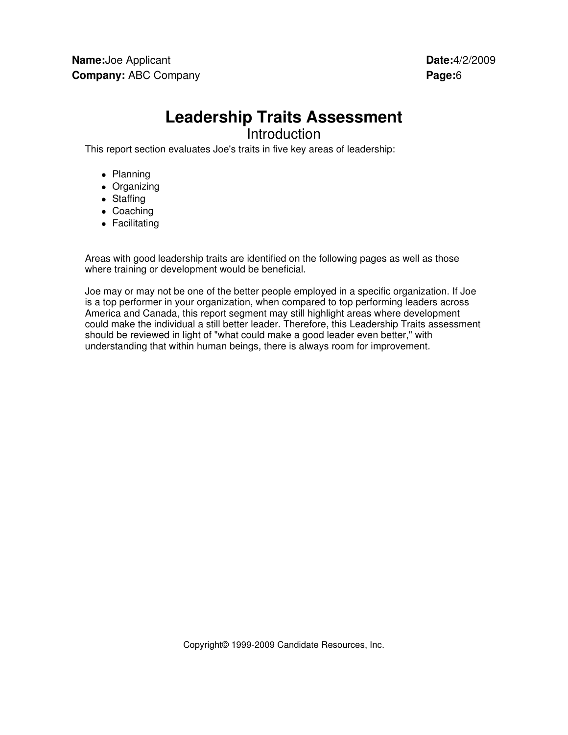# **Leadership Traits Assessment**

Introduction

This report section evaluates Joe's traits in five key areas of leadership:

- Planning
- Organizing
- Staffing
- Coaching
- Facilitating

Areas with good leadership traits are identified on the following pages as well as those where training or development would be beneficial.

Joe may or may not be one of the better people employed in a specific organization. If Joe is a top performer in your organization, when compared to top performing leaders across America and Canada, this report segment may still highlight areas where development could make the individual a still better leader. Therefore, this Leadership Traits assessment should be reviewed in light of "what could make a good leader even better," with understanding that within human beings, there is always room for improvement.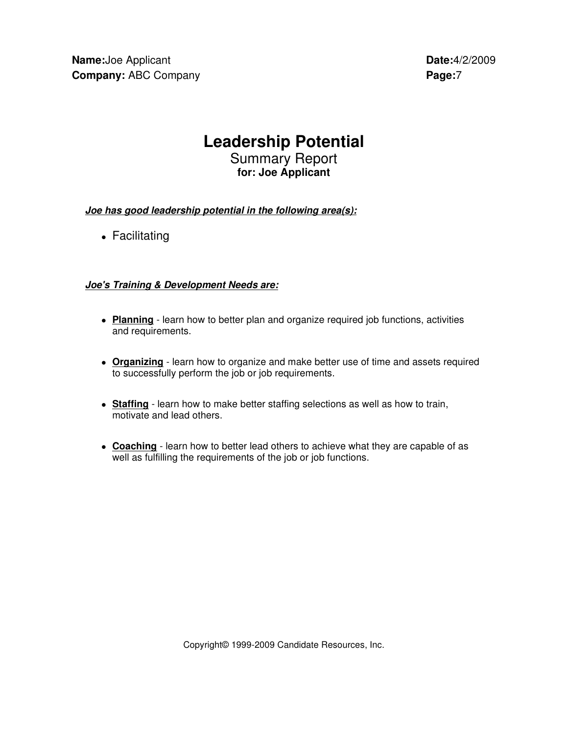## **Leadership Potential**

Summary Report **for: Joe Applicant**

**Joe has good leadership potential in the following area(s):**

• Facilitating

### **Joe's Training & Development Needs are:**

- **Planning** learn how to better plan and organize required job functions, activities and requirements.
- **Organizing** learn how to organize and make better use of time and assets required to successfully perform the job or job requirements.
- **Staffing** learn how to make better staffing selections as well as how to train, motivate and lead others.
- **Coaching** learn how to better lead others to achieve what they are capable of as well as fulfilling the requirements of the job or job functions.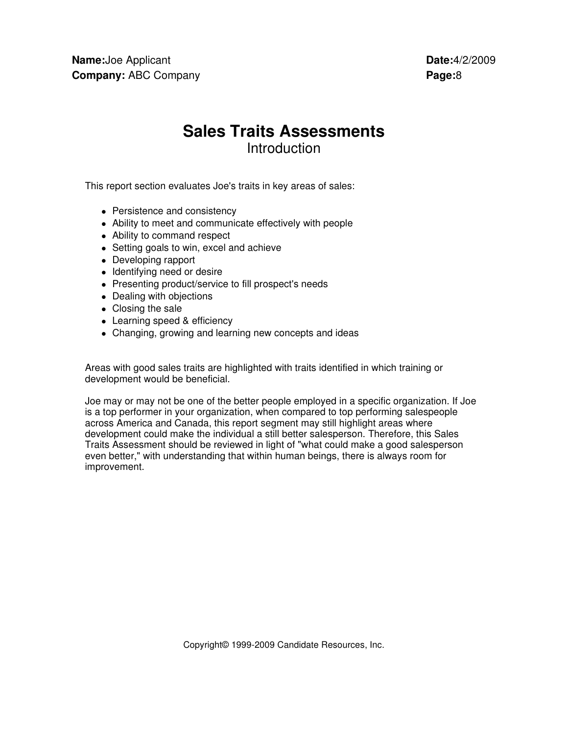## **Sales Traits Assessments Introduction**

This report section evaluates Joe's traits in key areas of sales:

- Persistence and consistency
- Ability to meet and communicate effectively with people
- Ability to command respect
- Setting goals to win, excel and achieve
- Developing rapport
- Identifying need or desire
- Presenting product/service to fill prospect's needs
- Dealing with objections
- Closing the sale
- Learning speed & efficiency
- Changing, growing and learning new concepts and ideas

Areas with good sales traits are highlighted with traits identified in which training or development would be beneficial.

Joe may or may not be one of the better people employed in a specific organization. If Joe is a top performer in your organization, when compared to top performing salespeople across America and Canada, this report segment may still highlight areas where development could make the individual a still better salesperson. Therefore, this Sales Traits Assessment should be reviewed in light of "what could make a good salesperson even better," with understanding that within human beings, there is always room for improvement.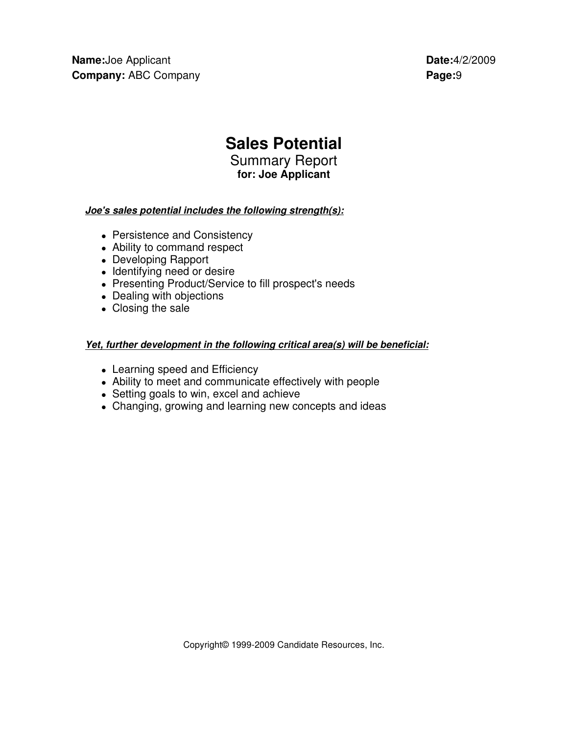## **Sales Potential**

Summary Report **for: Joe Applicant** 

### **Joe's sales potential includes the following strength(s):**

- Persistence and Consistency
- Ability to command respect
- Developing Rapport
- Identifying need or desire
- Presenting Product/Service to fill prospect's needs
- Dealing with objections
- Closing the sale

### **Yet, further development in the following critical area(s) will be beneficial:**

- Learning speed and Efficiency
- Ability to meet and communicate effectively with people
- Setting goals to win, excel and achieve
- Changing, growing and learning new concepts and ideas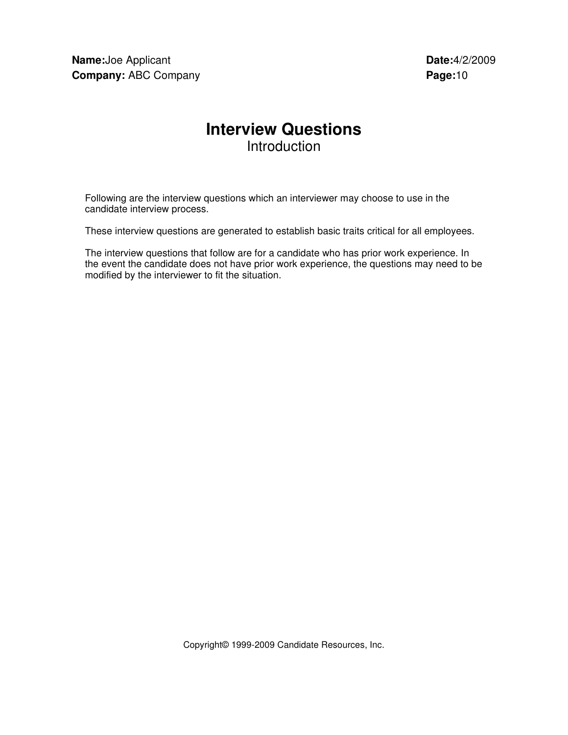## **Interview Questions**  Introduction

Following are the interview questions which an interviewer may choose to use in the candidate interview process.

These interview questions are generated to establish basic traits critical for all employees.

The interview questions that follow are for a candidate who has prior work experience. In the event the candidate does not have prior work experience, the questions may need to be modified by the interviewer to fit the situation.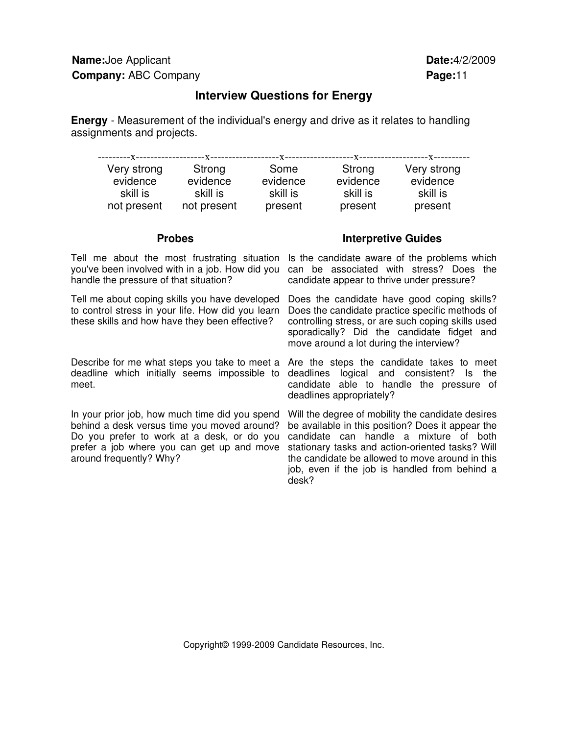### **Interview Questions for Energy**

**Energy** - Measurement of the individual's energy and drive as it relates to handling assignments and projects.

| Very strong | Strong      | Some     | Strong   | Very strong |
|-------------|-------------|----------|----------|-------------|
| evidence    | evidence    | evidence | evidence | evidence    |
| skill is    | skill is    | skill is | skill is | skill is    |
| not present | not present | present  | present  | present     |

Tell me about the most frustrating situation Is the candidate aware of the problems which you've been involved with in a job. How did you can be associated with stress? Does the handle the pressure of that situation?

Tell me about coping skills you have developed to control stress in your life. How did you learn these skills and how have they been effective?

deadline which initially seems impossible to meet.

In your prior job, how much time did you spend behind a desk versus time you moved around? Do you prefer to work at a desk, or do you prefer a job where you can get up and move around frequently? Why?

### **Probes** Interpretive Guides

candidate appear to thrive under pressure?

Does the candidate have good coping skills? Does the candidate practice specific methods of controlling stress, or are such coping skills used sporadically? Did the candidate fidget and move around a lot during the interview?

Describe for me what steps you take to meet a Are the steps the candidate takes to meet deadlines logical and consistent? Is the candidate able to handle the pressure of deadlines appropriately?

> Will the degree of mobility the candidate desires be available in this position? Does it appear the candidate can handle a mixture of both stationary tasks and action-oriented tasks? Will the candidate be allowed to move around in this job, even if the job is handled from behind a desk?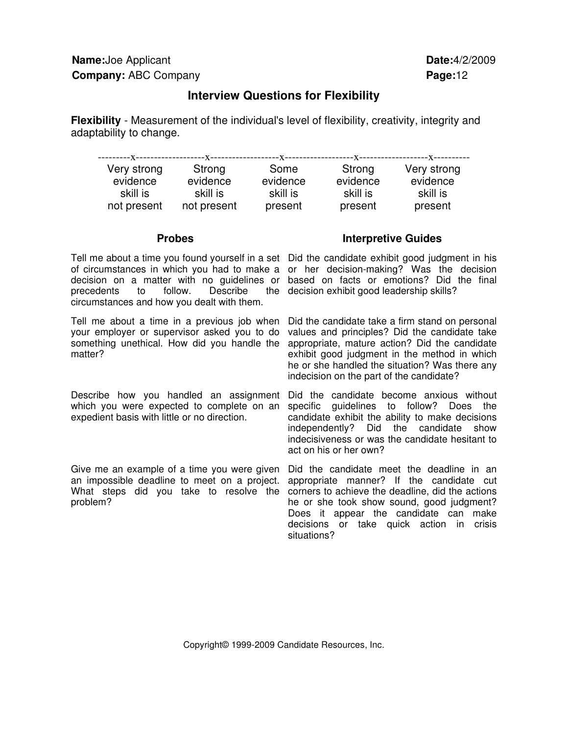### **Interview Questions for Flexibility**

**Flexibility** - Measurement of the individual's level of flexibility, creativity, integrity and adaptability to change.

| Very strong | Strong      | Some     | Strong   | Very strong |
|-------------|-------------|----------|----------|-------------|
| evidence    | evidence    | evidence | evidence | evidence    |
| skill is    | skill is    | skill is | skill is | skill is    |
| not present | not present | present  | present  | present     |

Tell me about a time you found yourself in a set Did the candidate exhibit good judgment in his of circumstances in which you had to make a or her decision-making? Was the decision decision on a matter with no guidelines or based on facts or emotions? Did the final precedents to follow. Describe circumstances and how you dealt with them.

Tell me about a time in a previous job when your employer or supervisor asked you to do something unethical. How did you handle the matter?

Describe how you handled an assignment which you were expected to complete on an expedient basis with little or no direction.

Give me an example of a time you were given an impossible deadline to meet on a project. What steps did you take to resolve the problem?

### **Probes** Interpretive Guides

the decision exhibit good leadership skills?

Did the candidate take a firm stand on personal values and principles? Did the candidate take appropriate, mature action? Did the candidate exhibit good judgment in the method in which he or she handled the situation? Was there any indecision on the part of the candidate?

Did the candidate become anxious without specific guidelines to follow? Does the candidate exhibit the ability to make decisions independently? Did the candidate show indecisiveness or was the candidate hesitant to act on his or her own?

Did the candidate meet the deadline in an appropriate manner? If the candidate cut corners to achieve the deadline, did the actions he or she took show sound, good judgment? Does it appear the candidate can make decisions or take quick action in crisis situations?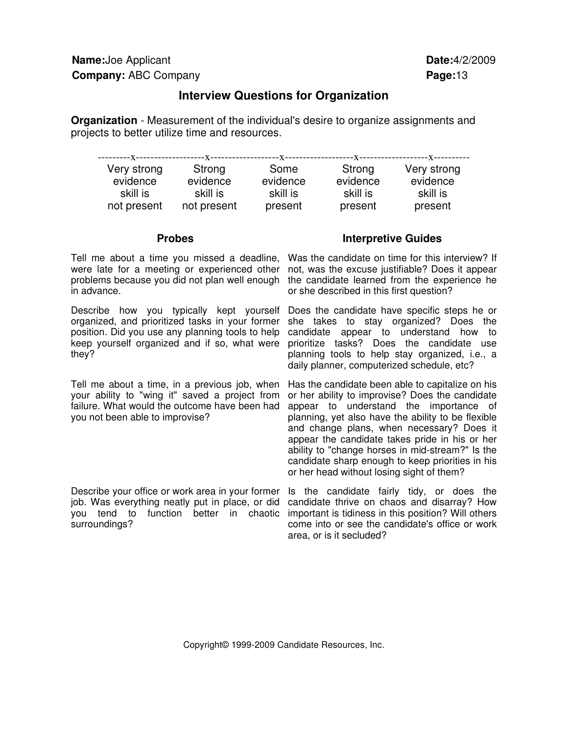### **Interview Questions for Organization**

**Organization** - Measurement of the individual's desire to organize assignments and projects to better utilize time and resources.

| Very strong | Strong      | Some     | Strong   | Very strong |
|-------------|-------------|----------|----------|-------------|
| evidence    | evidence    | evidence | evidence | evidence    |
| skill is    | skill is    | skill is | skill is | skill is    |
| not present | not present | present  | present  | present     |

Tell me about a time you missed a deadline, Was the candidate on time for this interview? If were late for a meeting or experienced other problems because you did not plan well enough in advance.

Describe how you typically kept yourself organized, and prioritized tasks in your former position. Did you use any planning tools to help keep yourself organized and if so, what were they?

Tell me about a time, in a previous job, when your ability to "wing it" saved a project from failure. What would the outcome have been had you not been able to improvise?

Describe your office or work area in your former job. Was everything neatly put in place, or did you tend to function better in chaotic important is tidiness in this position? Will others surroundings?

### **Probes Interpretive Guides**

not, was the excuse justifiable? Does it appear the candidate learned from the experience he or she described in this first question?

Does the candidate have specific steps he or she takes to stay organized? Does the candidate appear to understand how to prioritize tasks? Does the candidate use planning tools to help stay organized, i.e., a daily planner, computerized schedule, etc?

Has the candidate been able to capitalize on his or her ability to improvise? Does the candidate appear to understand the importance of planning, yet also have the ability to be flexible and change plans, when necessary? Does it appear the candidate takes pride in his or her ability to "change horses in mid-stream?" Is the candidate sharp enough to keep priorities in his or her head without losing sight of them?

Is the candidate fairly tidy, or does the candidate thrive on chaos and disarray? How come into or see the candidate's office or work area, or is it secluded?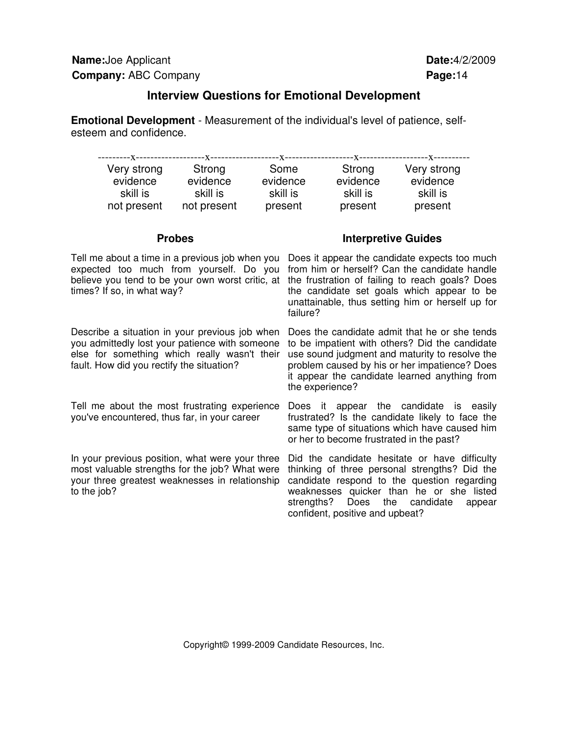### **Interview Questions for Emotional Development**

**Emotional Development** - Measurement of the individual's level of patience, selfesteem and confidence.

| Very strong | Strong      | Some     | Strong   | Very strong |
|-------------|-------------|----------|----------|-------------|
| evidence    | evidence    | evidence | evidence | evidence    |
| skill is    | skill is    | skill is | skill is | skill is    |
| not present | not present | present  | present  | present     |

expected too much from yourself. Do you times? If so, in what way?

Describe a situation in your previous job when you admittedly lost your patience with someone else for something which really wasn't their fault. How did you rectify the situation?

Tell me about the most frustrating experience you've encountered, thus far, in your career

In your previous position, what were your three most valuable strengths for the job? What were your three greatest weaknesses in relationship to the job?

### **Probes** Interpretive Guides

Tell me about a time in a previous job when you Does it appear the candidate expects too much believe you tend to be your own worst critic, at the frustration of failing to reach goals? Does from him or herself? Can the candidate handle the candidate set goals which appear to be unattainable, thus setting him or herself up for failure?

> Does the candidate admit that he or she tends to be impatient with others? Did the candidate use sound judgment and maturity to resolve the problem caused by his or her impatience? Does it appear the candidate learned anything from the experience?

> Does it appear the candidate is easily frustrated? Is the candidate likely to face the same type of situations which have caused him or her to become frustrated in the past?

> Did the candidate hesitate or have difficulty thinking of three personal strengths? Did the candidate respond to the question regarding weaknesses quicker than he or she listed strengths? Does the candidate appear confident, positive and upbeat?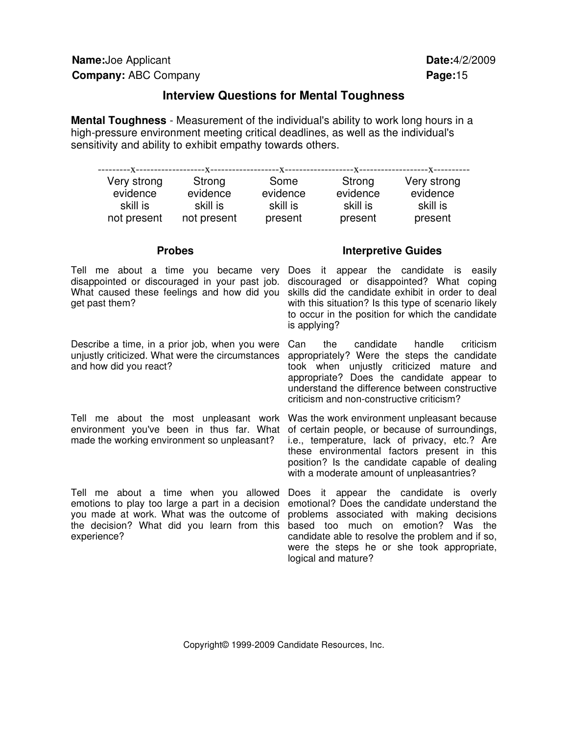### **Interview Questions for Mental Toughness**

**Mental Toughness** - Measurement of the individual's ability to work long hours in a high-pressure environment meeting critical deadlines, as well as the individual's sensitivity and ability to exhibit empathy towards others.

| ----------X------------------ | ---X------  | --X----  |          |             |
|-------------------------------|-------------|----------|----------|-------------|
| Very strong                   | Strong      | Some     | Strong   | Very strong |
| evidence                      | evidence    | evidence | evidence | evidence    |
| skill is                      | skill is    | skill is | skill is | skill is    |
| not present                   | not present | present  | present  | present     |

Tell me about a time you became very Does it appear the candidate is easily disappointed or discouraged in your past job. discouraged or disappointed? What coping What caused these feelings and how did you skills did the candidate exhibit in order to deal get past them?

Describe a time, in a prior job, when you were unjustly criticized. What were the circumstances and how did you react?

### **Probes** Interpretive Guides

with this situation? Is this type of scenario likely to occur in the position for which the candidate is applying?

Can the candidate handle criticism appropriately? Were the steps the candidate took when unjustly criticized mature and appropriate? Does the candidate appear to understand the difference between constructive criticism and non-constructive criticism?

Tell me about the most unpleasant work Was the work environment unpleasant because environment you've been in thus far. What of certain people, or because of surroundings, made the working environment so unpleasant?

Tell me about a time when you allowed emotions to play too large a part in a decision you made at work. What was the outcome of the decision? What did you learn from this based too much on emotion? Was the experience?

i.e., temperature, lack of privacy, etc.? Are these environmental factors present in this position? Is the candidate capable of dealing with a moderate amount of unpleasantries?

Does it appear the candidate is overly emotional? Does the candidate understand the problems associated with making decisions candidate able to resolve the problem and if so, were the steps he or she took appropriate, logical and mature?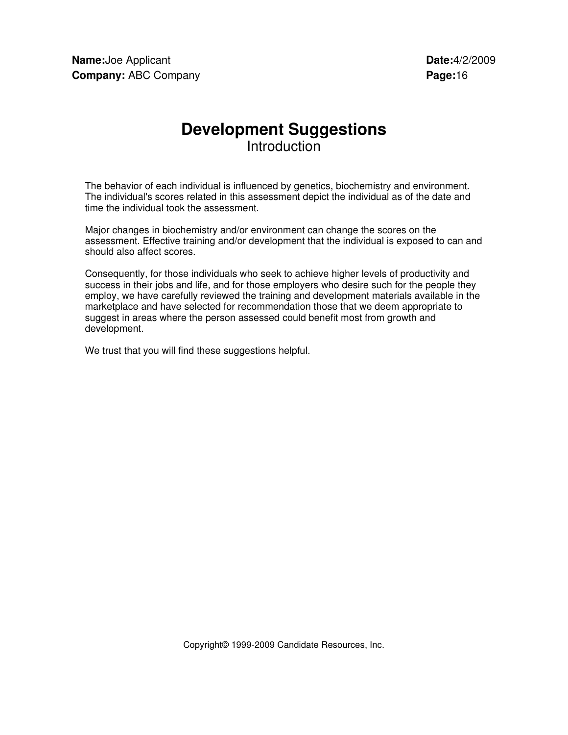## **Development Suggestions Introduction**

The behavior of each individual is influenced by genetics, biochemistry and environment. The individual's scores related in this assessment depict the individual as of the date and time the individual took the assessment.

Major changes in biochemistry and/or environment can change the scores on the assessment. Effective training and/or development that the individual is exposed to can and should also affect scores.

Consequently, for those individuals who seek to achieve higher levels of productivity and success in their jobs and life, and for those employers who desire such for the people they employ, we have carefully reviewed the training and development materials available in the marketplace and have selected for recommendation those that we deem appropriate to suggest in areas where the person assessed could benefit most from growth and development.

We trust that you will find these suggestions helpful.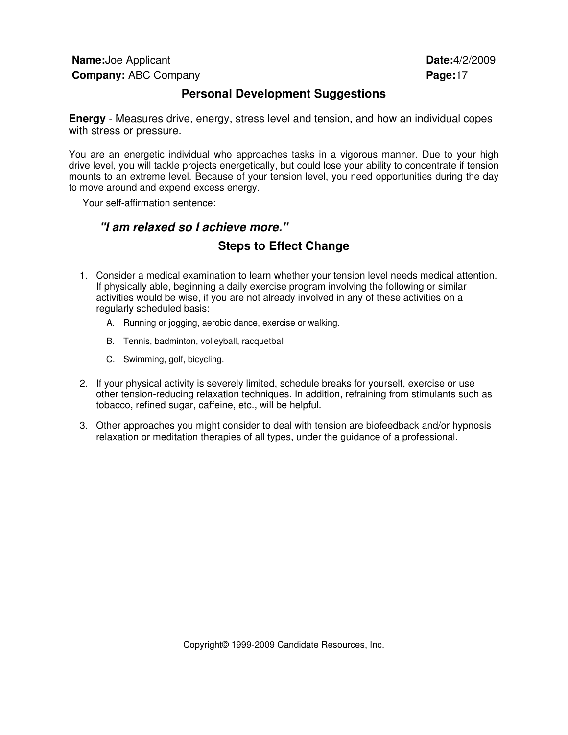### **Personal Development Suggestions**

**Energy** - Measures drive, energy, stress level and tension, and how an individual copes with stress or pressure.

You are an energetic individual who approaches tasks in a vigorous manner. Due to your high drive level, you will tackle projects energetically, but could lose your ability to concentrate if tension mounts to an extreme level. Because of your tension level, you need opportunities during the day to move around and expend excess energy.

Your self-affirmation sentence:

## **"I am relaxed so I achieve more." Steps to Effect Change**

- 1. Consider a medical examination to learn whether your tension level needs medical attention. If physically able, beginning a daily exercise program involving the following or similar activities would be wise, if you are not already involved in any of these activities on a regularly scheduled basis:
	- A. Running or jogging, aerobic dance, exercise or walking.
	- B. Tennis, badminton, volleyball, racquetball
	- C. Swimming, golf, bicycling.
- 2. If your physical activity is severely limited, schedule breaks for yourself, exercise or use other tension-reducing relaxation techniques. In addition, refraining from stimulants such as tobacco, refined sugar, caffeine, etc., will be helpful.
- 3. Other approaches you might consider to deal with tension are biofeedback and/or hypnosis relaxation or meditation therapies of all types, under the guidance of a professional.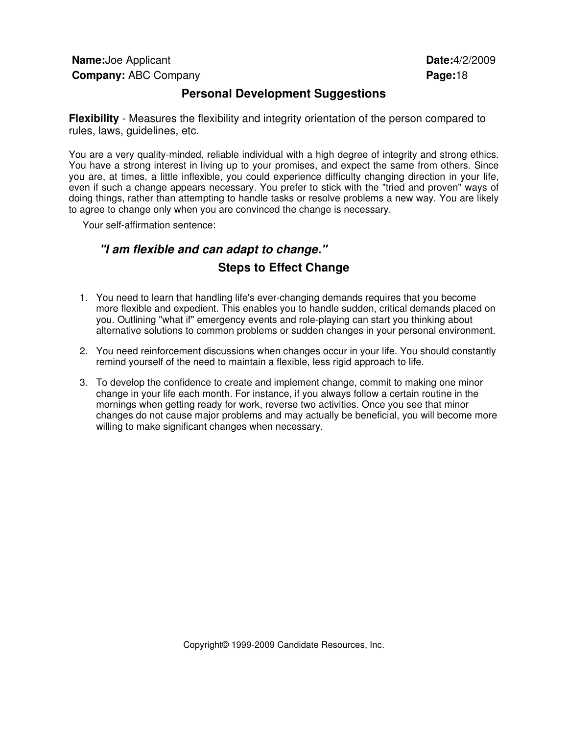### **Personal Development Suggestions**

**Flexibility** - Measures the flexibility and integrity orientation of the person compared to rules, laws, guidelines, etc.

You are a very quality-minded, reliable individual with a high degree of integrity and strong ethics. You have a strong interest in living up to your promises, and expect the same from others. Since you are, at times, a little inflexible, you could experience difficulty changing direction in your life, even if such a change appears necessary. You prefer to stick with the "tried and proven" ways of doing things, rather than attempting to handle tasks or resolve problems a new way. You are likely to agree to change only when you are convinced the change is necessary.

Your self-affirmation sentence:

## **"I am flexible and can adapt to change." Steps to Effect Change**

- 1. You need to learn that handling life's ever-changing demands requires that you become more flexible and expedient. This enables you to handle sudden, critical demands placed on you. Outlining "what if" emergency events and role-playing can start you thinking about alternative solutions to common problems or sudden changes in your personal environment.
- 2. You need reinforcement discussions when changes occur in your life. You should constantly remind yourself of the need to maintain a flexible, less rigid approach to life.
- 3. To develop the confidence to create and implement change, commit to making one minor change in your life each month. For instance, if you always follow a certain routine in the mornings when getting ready for work, reverse two activities. Once you see that minor changes do not cause major problems and may actually be beneficial, you will become more willing to make significant changes when necessary.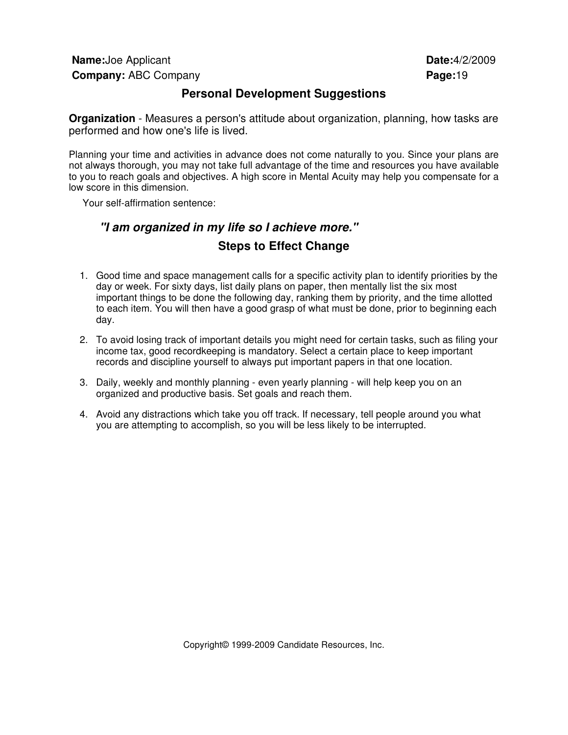**Name:**Joe Applicant **Date:**4/2/2009 **Company:** ABC Company **Page: Page: Page: Page: Page: Page: Page: Page: Page: Page: Page: Page: Page: Page: Page: Page: Page: Page: Page: Page: Page: Page: Page: Page: Page:** 

### **Personal Development Suggestions**

**Organization** - Measures a person's attitude about organization, planning, how tasks are performed and how one's life is lived.

Planning your time and activities in advance does not come naturally to you. Since your plans are not always thorough, you may not take full advantage of the time and resources you have available to you to reach goals and objectives. A high score in Mental Acuity may help you compensate for a low score in this dimension.

Your self-affirmation sentence:

## **"I am organized in my life so I achieve more." Steps to Effect Change**

- 1. Good time and space management calls for a specific activity plan to identify priorities by the day or week. For sixty days, list daily plans on paper, then mentally list the six most important things to be done the following day, ranking them by priority, and the time allotted to each item. You will then have a good grasp of what must be done, prior to beginning each day.
- 2. To avoid losing track of important details you might need for certain tasks, such as filing your income tax, good recordkeeping is mandatory. Select a certain place to keep important records and discipline yourself to always put important papers in that one location.
- 3. Daily, weekly and monthly planning even yearly planning will help keep you on an organized and productive basis. Set goals and reach them.
- 4. Avoid any distractions which take you off track. If necessary, tell people around you what you are attempting to accomplish, so you will be less likely to be interrupted.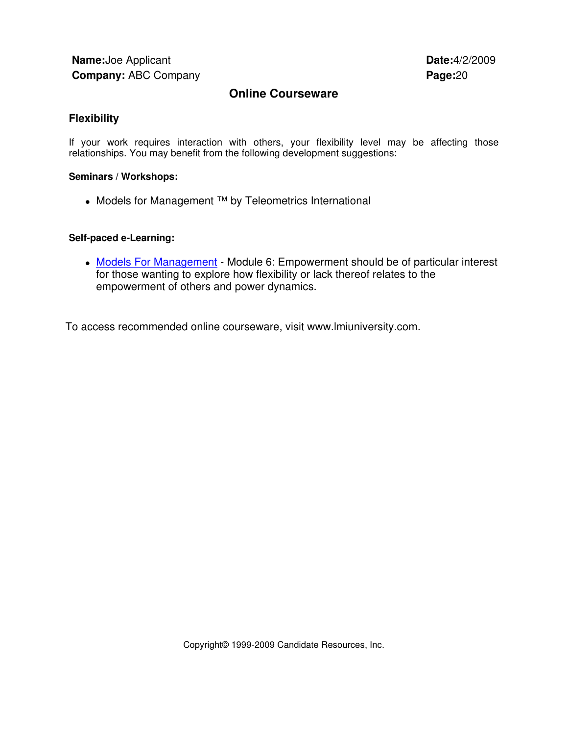### **Online Courseware**

### **Flexibility**

If your work requires interaction with others, your flexibility level may be affecting those relationships. You may benefit from the following development suggestions:

### **Seminars / Workshops:**

• Models for Management ™ by Teleometrics International

### **Self-paced e-Learning:**

• Models For Management - Module 6: Empowerment should be of particular interest for those wanting to explore how flexibility or lack thereof relates to the empowerment of others and power dynamics.

To access recommended online courseware, visit www.lmiuniversity.com.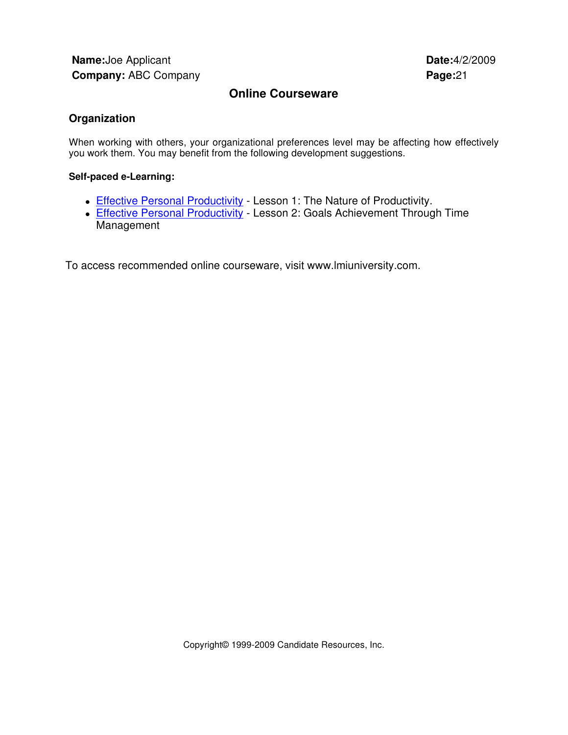### **Online Courseware**

### **Organization**

When working with others, your organizational preferences level may be affecting how effectively you work them. You may benefit from the following development suggestions.

### **Self-paced e-Learning:**

- Effective Personal Productivity Lesson 1: The Nature of Productivity.
- Effective Personal Productivity Lesson 2: Goals Achievement Through Time Management

To access recommended online courseware, visit www.lmiuniversity.com.